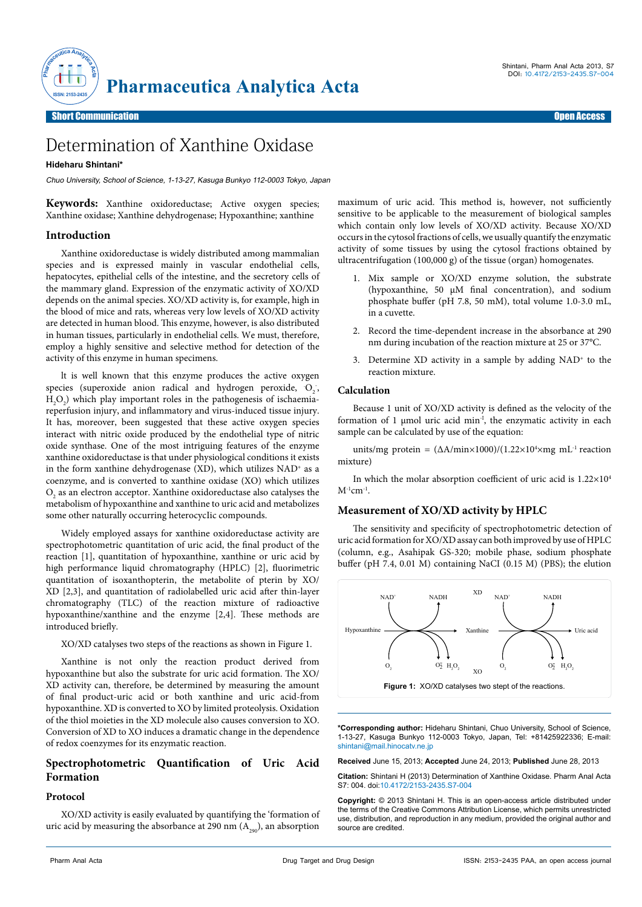

Short Communication **Short Communication** 

# Determination of Xanthine Oxidase

## **Hideharu Shintani\***

Chuo University, School of Science, 1-13-27, Kasuga Bunkyo 112-0003 Tokyo, Japan

**Keywords:** Xanthine oxidoreductase; Active oxygen species; Xanthine oxidase; Xanthine dehydrogenase; Hypoxanthine; xanthine

## **Introduction**

Xanthine oxidoreductase is widely distributed among mammalian species and is expressed mainly in vascular endothelial cells, hepatocytes, epithelial cells of the intestine, and the secretory cells of the mammary gland. Expression of the enzymatic activity of XO/XD depends on the animal species. XO/XD activity is, for example, high in the blood of mice and rats, whereas very low levels of XO/XD activity are detected in human blood. This enzyme, however, is also distributed in human tissues, particularly in endothelial cells. We must, therefore, employ a highly sensitive and selective method for detection of the activity of this enzyme in human specimens.

lt is well known that this enzyme produces the active oxygen species (superoxide anion radical and hydrogen peroxide,  $O_2$ ,  $H_2O_2$ ) which play important roles in the pathogenesis of ischaemiareperfusion injury, and inflammatory and virus-induced tissue injury. It has, moreover, been suggested that these active oxygen species interact with nitric oxide produced by the endothelial type of nitric oxide synthase. One of the most intriguing features of the enzyme xanthine oxidoreductase is that under physiological conditions it exists in the form xanthine dehydrogenase (XD), which utilizes  $NAD<sup>+</sup>$  as a coenzyme, and is converted to xanthine oxidase (XO) which utilizes  $\mathrm{O}_\mathrm{2}$  as an electron acceptor. Xanthine oxidoreductase also catalyses the metabolism of hypoxanthine and xanthine to uric acid and metabolizes some other naturally occurring heterocycIic compounds.

Widely employed assays for xanthine oxidoreductase activity are spectrophotometric quantitation of uric acid, the final product of the reaction [1], quantitation of hypoxanthine, xanthine or uric acid by high performance liquid chromatography (HPLC) [2], fluorimetric quantitation of isoxanthopterin, the metabolite of pterin by XO/ XD [2,3], and quantitation of radiolabelled uric acid after thin-layer chromatography (TLC) of the reaction mixture of radioactive hypoxanthine/xanthine and the enzyme [2,4]. These methods are introduced briefly.

XO/XD catalyses two steps of the reactions as shown in Figure 1.

Xanthine is not only the reaction product derived from hypoxanthine but also the substrate for uric acid formation. The XO/ XD activity can, therefore, be determined by measuring the amount of final product-uric acid or both xanthine and uric acid-from hypoxanthine. XD is converted to XO by limited proteolysis. Oxidation of the thiol moieties in the XD molecule also causes conversion to XO. Conversion of XD to XO induces a dramatic change in the dependence of redox coenzymes for its enzymatic reaction.

# **Spectrophotometric Quantification of Uric Acid Formation**

#### **Protocol**

XO/XD activity is easily evaluated by quantifying the 'formation of uric acid by measuring the absorbance at 290 nm  $(A_{200})$ , an absorption maximum of uric acid. This method is, however, not sufficiently sensitive to be applicable to the measurement of biological samples which contain only low levels of XO/XD activity. Because XO/XD occurs in the cytosol fractions of cells, we usually quantify the enzymatic activity of some tissues by using the cytosol fractions obtained by ultracentrifugation (100,000 g) of the tissue (organ) homogenates.

- 1. Mix sample or XO/XD enzyme solution, the substrate (hypoxanthine, 50 μM final concentration), and sodium phosphate buffer (pH 7.8, 50 mM), total volume 1.0-3.0 mL, in a cuvette.
- 2. Record the time-dependent increase in the absorbance at 290 nm during incubation of the reaction mixture at 25 or 37°C.
- 3. Determine XD activity in a sample by adding  $NAD<sup>+</sup>$  to the reaction mixture.

#### **Calculation**

Because 1 unit of XO/XD activity is defined as the velocity of the formation of 1 μmol uric acid min-I, the enzymatic activity in each sample can be calculated by use of the equation:

units/mg protein =  $(\Delta A/min \times 1000)/(1.22 \times 10^4 \times mg \text{ mL}^{-1})$  reaction mixture)

In which the molar absorption coefficient of uric acid is  $1.22\times10^4$  $M^{-1}$ cm<sup>-1</sup>.

#### **Measurement of XO/XD activity by HPLC**

The sensitivity and specificity of spectrophotometric detection of uric acid formation for XO/XD assay can both improved by use of HPLC (column, e.g., Asahipak GS-320; mobile phase, sodium phosphate buffer (pH 7.4, 0.01 M) containing NaCI (0.15 M) (PBS); the elution



**\*Corresponding author:** Hideharu Shintani, Chuo University, School of Science, 1-13-27, Kasuga Bunkyo 112-0003 Tokyo, Japan, Tel: +81425922336; E-mail: shintani@mail.hinocatv.ne.jp

**Received** June 15, 2013; **Accepted** June 24, 2013; **Published** June 28, 2013

**Citation:** Shintani H (2013) Determination of Xanthine Oxidase. Pharm Anal Acta S7: 004. doi:10.4172/2153-2435.S7-004

**Copyright:** © 2013 Shintani H. This is an open-access article distributed under the terms of the Creative Commons Attribution License, which permits unrestricted use, distribution, and reproduction in any medium, provided the original author and source are credited.